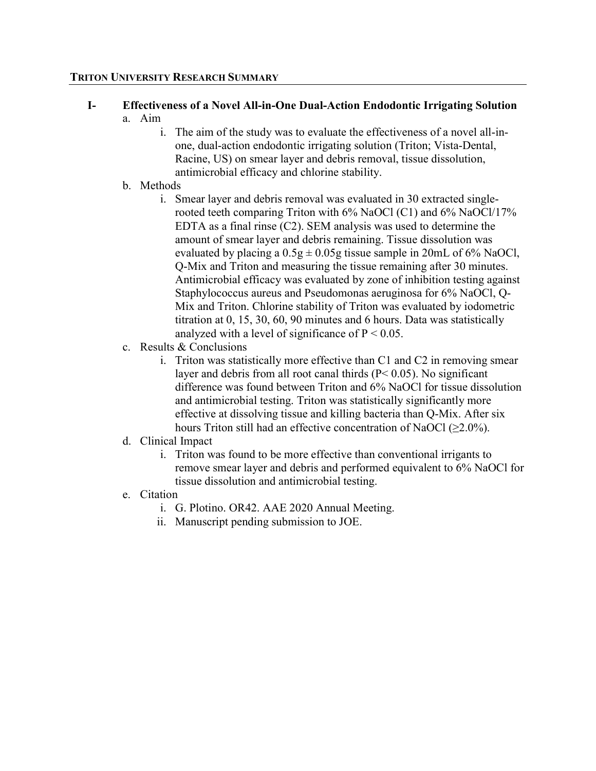#### TRITON UNIVERSITY RESEARCH SUMMARY

#### I- Effectiveness of a Novel All-in-One Dual-Action Endodontic Irrigating Solution a. Aim

- i. The aim of the study was to evaluate the effectiveness of a novel all-inone, dual-action endodontic irrigating solution (Triton; Vista-Dental, Racine, US) on smear layer and debris removal, tissue dissolution, antimicrobial efficacy and chlorine stability.
- b. Methods
	- i. Smear layer and debris removal was evaluated in 30 extracted singlerooted teeth comparing Triton with 6% NaOCl (C1) and 6% NaOCl/17% EDTA as a final rinse (C2). SEM analysis was used to determine the amount of smear layer and debris remaining. Tissue dissolution was evaluated by placing a  $0.5g \pm 0.05g$  tissue sample in 20mL of 6% NaOCl, Q-Mix and Triton and measuring the tissue remaining after 30 minutes. Antimicrobial efficacy was evaluated by zone of inhibition testing against Staphylococcus aureus and Pseudomonas aeruginosa for 6% NaOCl, Q-Mix and Triton. Chlorine stability of Triton was evaluated by iodometric titration at 0, 15, 30, 60, 90 minutes and 6 hours. Data was statistically analyzed with a level of significance of  $P < 0.05$ .
- c. Results & Conclusions
	- i. Triton was statistically more effective than C1 and C2 in removing smear layer and debris from all root canal thirds  $(P< 0.05)$ . No significant difference was found between Triton and 6% NaOCl for tissue dissolution and antimicrobial testing. Triton was statistically significantly more effective at dissolving tissue and killing bacteria than Q-Mix. After six hours Triton still had an effective concentration of NaOCl  $(\geq 2.0\%)$ .

# d. Clinical Impact

- i. Triton was found to be more effective than conventional irrigants to remove smear layer and debris and performed equivalent to 6% NaOCl for tissue dissolution and antimicrobial testing.
- e. Citation
	- i. G. Plotino. OR42. AAE 2020 Annual Meeting.
	- ii. Manuscript pending submission to JOE.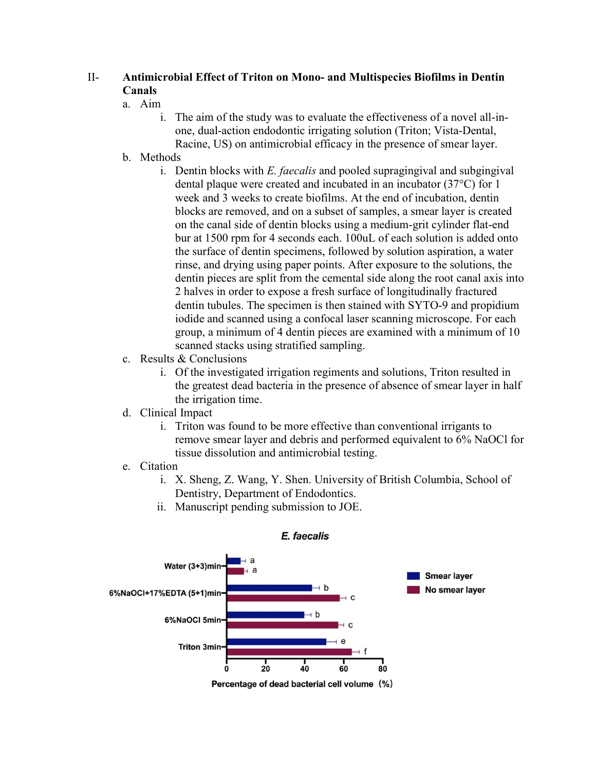## II- Antimicrobial Effect of Triton on Mono- and Multispecies Biofilms in Dentin Canals

#### a. Aim

- i. The aim of the study was to evaluate the effectiveness of a novel all-inone, dual-action endodontic irrigating solution (Triton; Vista-Dental, Racine, US) on antimicrobial efficacy in the presence of smear layer.
- b. Methods
	- i. Dentin blocks with  $E$ . *faecalis* and pooled supragingival and subgingival dental plaque were created and incubated in an incubator (37°C) for 1 week and 3 weeks to create biofilms. At the end of incubation, dentin blocks are removed, and on a subset of samples, a smear layer is created on the canal side of dentin blocks using a medium-grit cylinder flat-end bur at 1500 rpm for 4 seconds each. 100uL of each solution is added onto the surface of dentin specimens, followed by solution aspiration, a water rinse, and drying using paper points. After exposure to the solutions, the dentin pieces are split from the cemental side along the root canal axis into 2 halves in order to expose a fresh surface of longitudinally fractured dentin tubules. The specimen is then stained with SYTO-9 and propidium iodide and scanned using a confocal laser scanning microscope. For each group, a minimum of 4 dentin pieces are examined with a minimum of 10 scanned stacks using stratified sampling.
- c. Results & Conclusions
	- i. Of the investigated irrigation regiments and solutions, Triton resulted in the greatest dead bacteria in the presence of absence of smear layer in half the irrigation time.
- d. Clinical Impact
	- i. Triton was found to be more effective than conventional irrigants to remove smear layer and debris and performed equivalent to 6% NaOCl for tissue dissolution and antimicrobial testing.
- e. Citation
	- i. X. Sheng, Z. Wang, Y. Shen. University of British Columbia, School of Dentistry, Department of Endodontics.
- Water (3+3)min **Smear laver** ⊣ b No smear layer 6%NaOCI+17%EDTA (5+1)min-+ C 6%NaOCI 5min- $\mathbf c$ e **Triton 3min-** $\overline{20}$ 40  $\dot{\bf 80}$ 60 Percentage of dead bacterial cell volume (%)
- E. faecalis

ii. Manuscript pending submission to JOE.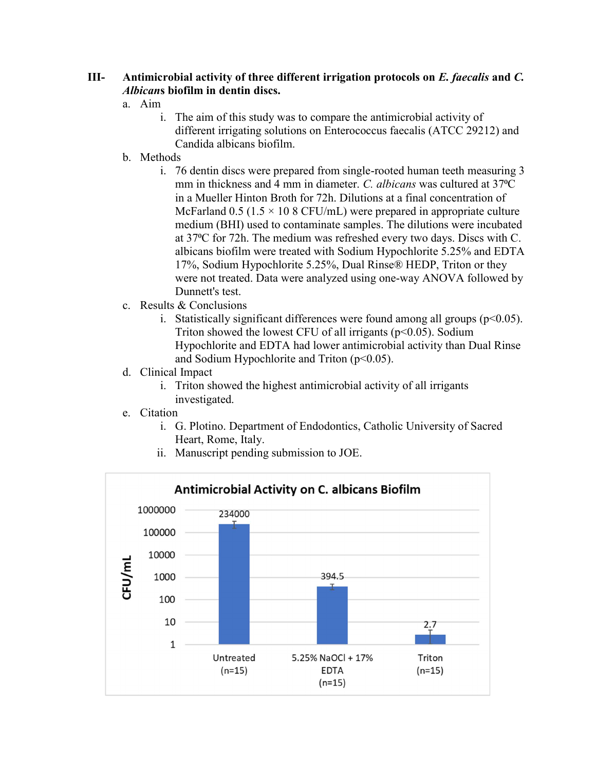## III- Antimicrobial activity of three different irrigation protocols on  $E$ . faecalis and  $C$ . Albicans biofilm in dentin discs.

#### a. Aim

- i. The aim of this study was to compare the antimicrobial activity of different irrigating solutions on Enterococcus faecalis (ATCC 29212) and Candida albicans biofilm.
- b. Methods
	- i. 76 dentin discs were prepared from single-rooted human teeth measuring 3 mm in thickness and 4 mm in diameter. C. albicans was cultured at 37 °C in a Mueller Hinton Broth for 72h. Dilutions at a final concentration of McFarland  $0.5$  (1.5  $\times$  10 8 CFU/mL) were prepared in appropriate culture medium (BHI) used to contaminate samples. The dilutions were incubated at 37⁰C for 72h. The medium was refreshed every two days. Discs with C. albicans biofilm were treated with Sodium Hypochlorite 5.25% and EDTA 17%, Sodium Hypochlorite 5.25%, Dual Rinse® HEDP, Triton or they were not treated. Data were analyzed using one-way ANOVA followed by Dunnett's test.
- c. Results & Conclusions
	- i. Statistically significant differences were found among all groups  $(p<0.05)$ . Triton showed the lowest CFU of all irrigants ( $p<0.05$ ). Sodium Hypochlorite and EDTA had lower antimicrobial activity than Dual Rinse and Sodium Hypochlorite and Triton  $(p<0.05)$ .
- d. Clinical Impact
	- i. Triton showed the highest antimicrobial activity of all irrigants investigated.
- e. Citation
	- i. G. Plotino. Department of Endodontics, Catholic University of Sacred Heart, Rome, Italy.
	- ii. Manuscript pending submission to JOE.

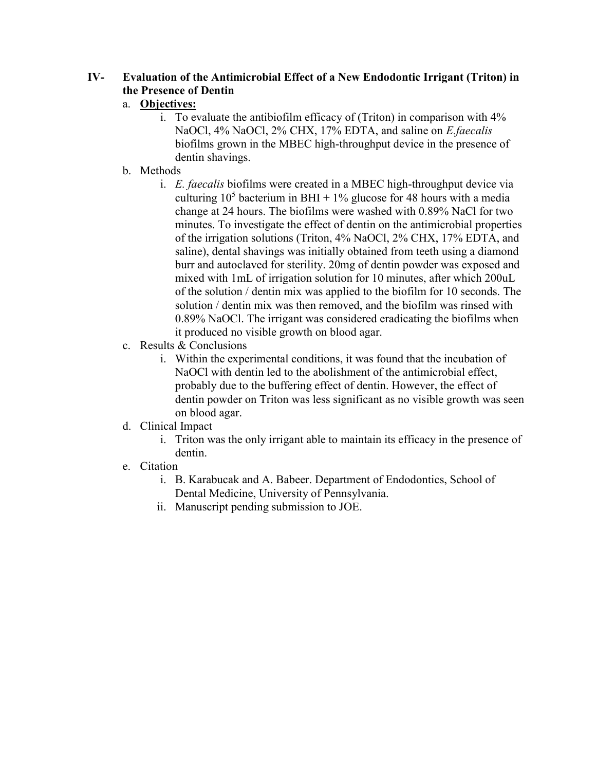# IV- Evaluation of the Antimicrobial Effect of a New Endodontic Irrigant (Triton) in the Presence of Dentin

# a. Objectives:

- i. To evaluate the antibiofilm efficacy of (Triton) in comparison with 4% NaOCl, 4% NaOCl, 2% CHX, 17% EDTA, and saline on *E.faecalis* biofilms grown in the MBEC high-throughput device in the presence of dentin shavings.
- b. Methods
	- i. E. faecalis biofilms were created in a MBEC high-throughput device via culturing  $10^5$  bacterium in BHI + 1% glucose for 48 hours with a media change at 24 hours. The biofilms were washed with 0.89% NaCl for two minutes. To investigate the effect of dentin on the antimicrobial properties of the irrigation solutions (Triton, 4% NaOCl, 2% CHX, 17% EDTA, and saline), dental shavings was initially obtained from teeth using a diamond burr and autoclaved for sterility. 20mg of dentin powder was exposed and mixed with 1mL of irrigation solution for 10 minutes, after which 200uL of the solution / dentin mix was applied to the biofilm for 10 seconds. The solution / dentin mix was then removed, and the biofilm was rinsed with 0.89% NaOCl. The irrigant was considered eradicating the biofilms when it produced no visible growth on blood agar.
- c. Results & Conclusions
	- i. Within the experimental conditions, it was found that the incubation of NaOCl with dentin led to the abolishment of the antimicrobial effect, probably due to the buffering effect of dentin. However, the effect of dentin powder on Triton was less significant as no visible growth was seen on blood agar.
- d. Clinical Impact
	- i. Triton was the only irrigant able to maintain its efficacy in the presence of dentin.
- e. Citation
	- i. B. Karabucak and A. Babeer. Department of Endodontics, School of Dental Medicine, University of Pennsylvania.
	- ii. Manuscript pending submission to JOE.